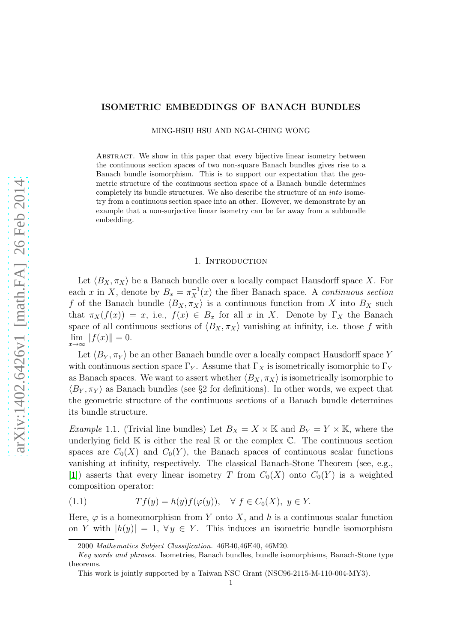# ISOMETRIC EMBEDDINGS OF BANACH BUNDLES

MING-HSIU HSU AND NGAI-CHING WONG

Abstract. We show in this paper that every bijective linear isometry between the continuous section spaces of two non-square Banach bundles gives rise to a Banach bundle isomorphism. This is to support our expectation that the geometric structure of the continuous section space of a Banach bundle determines completely its bundle structures. We also describe the structure of an into isometry from a continuous section space into an other. However, we demonstrate by an example that a non-surjective linear isometry can be far away from a subbundle embedding.

#### 1. INTRODUCTION

Let  $\langle B_X, \pi_X \rangle$  be a Banach bundle over a locally compact Hausdorff space X. For each x in X, denote by  $B_x = \pi_X^{-1}(x)$  the fiber Banach space. A continuous section f of the Banach bundle  $\langle B_X, \pi_X \rangle$  is a continuous function from X into  $B_X$  such that  $\pi_X(f(x)) = x$ , i.e.,  $f(x) \in B_x$  for all x in X. Denote by  $\Gamma_X$  the Banach space of all continuous sections of  $\langle B_X, \pi_X \rangle$  vanishing at infinity, i.e. those f with  $\lim_{x \to \infty} ||f(x)|| = 0.$ 

Let  $\langle B_Y, \pi_Y \rangle$  be an other Banach bundle over a locally compact Hausdorff space Y with continuous section space  $\Gamma_Y$ . Assume that  $\Gamma_X$  is isometrically isomorphic to  $\Gamma_Y$ as Banach spaces. We want to assert whether  $\langle B_X, \pi_X \rangle$  is isometrically isomorphic to  $\langle B_Y, \pi_Y \rangle$  as Banach bundles (see §2 for definitions). In other words, we expect that the geometric structure of the continuous sections of a Banach bundle determines its bundle structure.

<span id="page-0-0"></span>*Example* 1.1. (Trivial line bundles) Let  $B_X = X \times \mathbb{K}$  and  $B_Y = Y \times \mathbb{K}$ , where the underlying field  $\mathbb K$  is either the real  $\mathbb R$  or the complex  $\mathbb C$ . The continuous section spaces are  $C_0(X)$  and  $C_0(Y)$ , the Banach spaces of continuous scalar functions vanishing at infinity, respectively. The classical Banach-Stone Theorem (see, e.g., [\[1\]](#page-7-0)) asserts that every linear isometry T from  $C_0(X)$  onto  $C_0(Y)$  is a weighted composition operator:

$$
(1.1) \tTf(y) = h(y)f(\varphi(y)), \quad \forall \ f \in C_0(X), \ y \in Y.
$$

Here,  $\varphi$  is a homeomorphism from Y onto X, and h is a continuous scalar function on Y with  $|h(y)| = 1$ ,  $\forall y \in Y$ . This induces an isometric bundle isomorphism

<sup>2000</sup> Mathematics Subject Classification. 46B40,46E40, 46M20.

Key words and phrases. Isometries, Banach bundles, bundle isomorphisms, Banach-Stone type theorems.

This work is jointly supported by a Taiwan NSC Grant (NSC96-2115-M-110-004-MY3).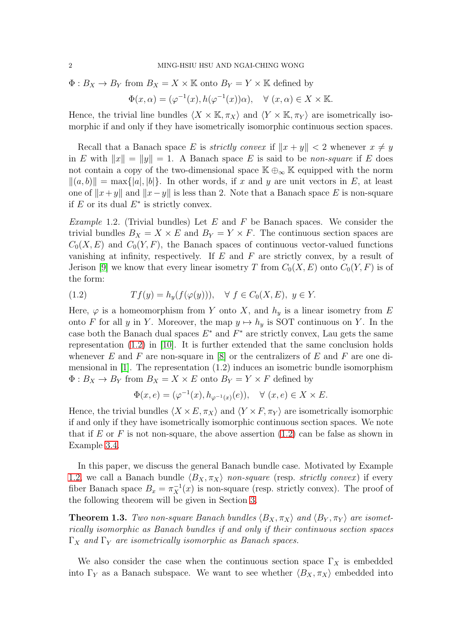$\Phi: B_X \to B_Y$  from  $B_X = X \times \mathbb{K}$  onto  $B_Y = Y \times \mathbb{K}$  defined by

$$
\Phi(x,\alpha) = (\varphi^{-1}(x), h(\varphi^{-1}(x))\alpha), \quad \forall (x,\alpha) \in X \times \mathbb{K}.
$$

Hence, the trivial line bundles  $\langle X \times \mathbb{K}, \pi_X \rangle$  and  $\langle Y \times \mathbb{K}, \pi_Y \rangle$  are isometrically isomorphic if and only if they have isometrically isomorphic continuous section spaces.

Recall that a Banach space E is *strictly convex* if  $||x + y|| < 2$  whenever  $x \neq y$ in E with  $||x|| = ||y|| = 1$ . A Banach space E is said to be non-square if E does not contain a copy of the two-dimensional space  $\mathbb{K} \oplus_{\infty} \mathbb{K}$  equipped with the norm  $\|(a, b)\| = \max\{|a|, |b|\}.$  In other words, if x and y are unit vectors in E, at least one of  $||x+y||$  and  $||x-y||$  is less than 2. Note that a Banach space E is non-square if  $E$  or its dual  $E^*$  is strictly convex.

<span id="page-1-1"></span>Example 1.2. (Trivial bundles) Let  $E$  and  $F$  be Banach spaces. We consider the trivial bundles  $B_X = X \times E$  and  $B_Y = Y \times F$ . The continuous section spaces are  $C_0(X, E)$  and  $C_0(Y, F)$ , the Banach spaces of continuous vector-valued functions vanishing at infinity, respectively. If  $E$  and  $F$  are strictly convex, by a result of Jerison [\[9\]](#page-7-1) we know that every linear isometry T from  $C_0(X, E)$  onto  $C_0(Y, F)$  is of the form:

<span id="page-1-0"></span>
$$
(1.2) \tTf(y) = h_y(f(\varphi(y))), \quad \forall \ f \in C_0(X, E), \ y \in Y.
$$

Here,  $\varphi$  is a homeomorphism from Y onto X, and  $h_y$  is a linear isometry from E onto F for all y in Y. Moreover, the map  $y \mapsto h_y$  is SOT continuous on Y. In the case both the Banach dual spaces  $E^*$  and  $F^*$  are strictly convex, Lau gets the same representation [\(1.2\)](#page-1-0) in [\[10\]](#page-7-2). It is further extended that the same conclusion holds whenever  $E$  and  $F$  are non-square in [\[8\]](#page-7-3) or the centralizers of  $E$  and  $F$  are one dimensional in [\[1\]](#page-7-0). The representation (1.2) induces an isometric bundle isomorphism  $\Phi: B_X \to B_Y$  from  $B_X = X \times E$  onto  $B_Y = Y \times F$  defined by

$$
\Phi(x, e) = (\varphi^{-1}(x), h_{\varphi^{-1}(x)}(e)), \quad \forall (x, e) \in X \times E.
$$

Hence, the trivial bundles  $\langle X \times E, \pi_X \rangle$  and  $\langle Y \times F, \pi_Y \rangle$  are isometrically isomorphic if and only if they have isometrically isomorphic continuous section spaces. We note that if E or F is not non-square, the above assertion  $(1.2)$  can be false as shown in Example [3.4.](#page-7-4)

In this paper, we discuss the general Banach bundle case. Motivated by Example [1.2,](#page-1-1) we call a Banach bundle  $\langle B_X, \pi_X \rangle$  non-square (resp. strictly convex) if every fiber Banach space  $B_x = \pi_X^{-1}(x)$  is non-square (resp. strictly convex). The proof of the following theorem will be given in Section [3.](#page-3-0)

<span id="page-1-2"></span>**Theorem 1.3.** Two non-square Banach bundles  $\langle B_X, \pi_X \rangle$  and  $\langle B_Y, \pi_Y \rangle$  are isometrically isomorphic as Banach bundles if and only if their continuous section spaces  $\Gamma_X$  and  $\Gamma_Y$  are isometrically isomorphic as Banach spaces.

We also consider the case when the continuous section space  $\Gamma_X$  is embedded into  $\Gamma_Y$  as a Banach subspace. We want to see whether  $\langle B_X, \pi_X \rangle$  embedded into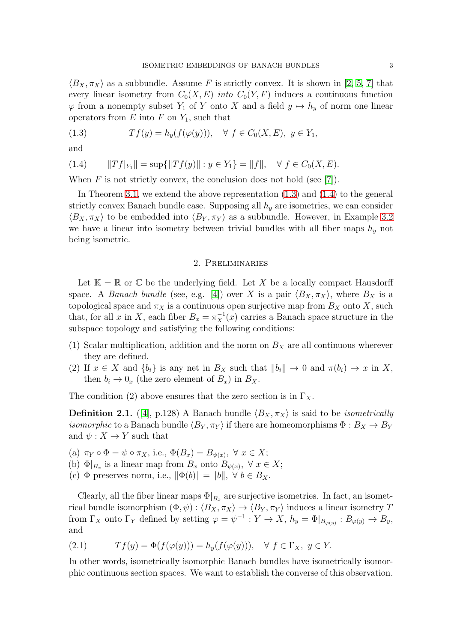$\langle B_X, \pi_X \rangle$  as a subbundle. Assume F is strictly convex. It is shown in [\[2,](#page-7-5) [5,](#page-7-6) [7\]](#page-7-7) that every linear isometry from  $C_0(X, E)$  *into*  $C_0(Y, F)$  induces a continuous function  $\varphi$  from a nonempty subset  $Y_1$  of Y onto X and a field  $y \mapsto h_y$  of norm one linear operators from  $E$  into  $F$  on  $Y_1$ , such that

<span id="page-2-0"></span>(1.3) 
$$
Tf(y) = h_y(f(\varphi(y))), \quad \forall \ f \in C_0(X, E), \ y \in Y_1,
$$

and

<span id="page-2-1"></span>
$$
(1.4) \t ||Tf|_{Y_1}|| = \sup\{||Tf(y)|| : y \in Y_1\} = ||f||, \quad \forall f \in C_0(X, E).
$$

When  $F$  is not strictly convex, the conclusion does not hold (see [\[7\]](#page-7-7)).

In Theorem [3.1,](#page-3-1) we extend the above representation [\(1.3\)](#page-2-0) and [\(1.4\)](#page-2-1) to the general strictly convex Banach bundle case. Supposing all  $h_y$  are isometries, we can consider  $\langle B_X, \pi_X \rangle$  to be embedded into  $\langle B_Y, \pi_Y \rangle$  as a subbundle. However, in Example [3.2](#page-5-0) we have a linear into isometry between trivial bundles with all fiber maps  $h_y$  not being isometric.

### 2. Preliminaries

Let  $\mathbb{K} = \mathbb{R}$  or  $\mathbb{C}$  be the underlying field. Let X be a locally compact Hausdorff space. A *Banach bundle* (see, e.g. [\[4\]](#page-7-8)) over X is a pair  $\langle B_X, \pi_X \rangle$ , where  $B_X$  is a topological space and  $\pi_X$  is a continuous open surjective map from  $B_X$  onto X, such that, for all x in X, each fiber  $B_x = \pi_X^{-1}(x)$  carries a Banach space structure in the subspace topology and satisfying the following conditions:

- (1) Scalar multiplication, addition and the norm on  $B<sub>X</sub>$  are all continuous wherever they are defined.
- (2) If  $x \in X$  and  $\{b_i\}$  is any net in  $B_X$  such that  $||b_i|| \to 0$  and  $\pi(b_i) \to x$  in X, then  $b_i \to 0_x$  (the zero element of  $B_x$ ) in  $B_x$ .

The condition (2) above ensures that the zero section is in  $\Gamma_X$ .

**Definition 2.1.** ([\[4\]](#page-7-8), p.128) A Banach bundle  $\langle B_X, \pi_X \rangle$  is said to be *isometrically isomorphic* to a Banach bundle  $\langle B_Y, \pi_Y \rangle$  if there are homeomorphisms  $\Phi : B_X \to B_Y$ and  $\psi: X \to Y$  such that

- (a)  $\pi_Y \circ \Phi = \psi \circ \pi_X$ , i.e.,  $\Phi(B_x) = B_{\psi(x)}, \ \forall \ x \in X;$
- (b)  $\Phi|_{B_x}$  is a linear map from  $B_x$  onto  $B_{\psi(x)}$ ,  $\forall x \in X$ ;
- (c)  $\Phi$  preserves norm, i.e.,  $\|\Phi(b)\| = \|b\|$ ,  $\forall b \in B_X$ .

Clearly, all the fiber linear maps  $\Phi|_{B_x}$  are surjective isometries. In fact, an isometrical bundle isomorphism  $(\Phi, \psi) : \langle B_X, \pi_X \rangle \to \langle B_Y, \pi_Y \rangle$  induces a linear isometry T from  $\Gamma_X$  onto  $\Gamma_Y$  defined by setting  $\varphi = \psi^{-1} : Y \to X$ ,  $h_y = \Phi|_{B_{\varphi(y)}} : B_{\varphi(y)} \to B_y$ , and

(2.1) 
$$
Tf(y) = \Phi(f(\varphi(y))) = h_y(f(\varphi(y))), \quad \forall f \in \Gamma_X, y \in Y.
$$

In other words, isometrically isomorphic Banach bundles have isometrically isomorphic continuous section spaces. We want to establish the converse of this observation.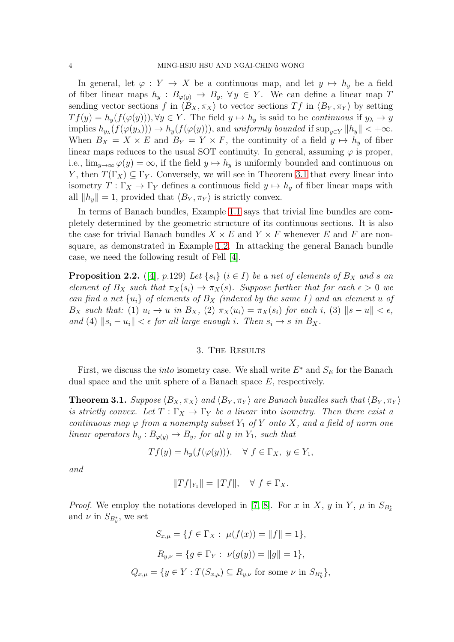In general, let  $\varphi: Y \to X$  be a continuous map, and let  $y \mapsto h_y$  be a field of fiber linear maps  $h_y : B_{\varphi(y)} \to B_y$ ,  $\forall y \in Y$ . We can define a linear map T sending vector sections f in  $\langle B_X, \pi_X \rangle$  to vector sections Tf in  $\langle B_Y, \pi_Y \rangle$  by setting  $Tf(y) = h_y(f(\varphi(y))), \forall y \in Y$ . The field  $y \mapsto h_y$  is said to be continuous if  $y_\lambda \to y$ implies  $h_{y_{\lambda}}(f(\varphi(y_{\lambda}))) \to h_y(f(\varphi(y))),$  and uniformly bounded if  $\sup_{y \in Y} ||h_y|| < +\infty$ . When  $B_X = X \times E$  and  $B_Y = Y \times F$ , the continuity of a field  $y \mapsto h_y$  of fiber linear maps reduces to the usual SOT continuity. In general, assuming  $\varphi$  is proper, i.e.,  $\lim_{y\to\infty}\varphi(y)=\infty$ , if the field  $y\mapsto h_y$  is uniformly bounded and continuous on Y, then  $T(\Gamma_X) \subseteq \Gamma_Y$ . Conversely, we will see in Theorem [3.1](#page-3-1) that every linear into isometry  $T : \Gamma_X \to \Gamma_Y$  defines a continuous field  $y \mapsto h_y$  of fiber linear maps with all  $||h_y|| = 1$ , provided that  $\langle B_Y, \pi_Y \rangle$  is strictly convex.

In terms of Banach bundles, Example [1.1](#page-0-0) says that trivial line bundles are completely determined by the geometric structure of its continuous sections. It is also the case for trivial Banach bundles  $X \times E$  and  $Y \times F$  whenever E and F are nonsquare, as demonstrated in Example [1.2.](#page-1-1) In attacking the general Banach bundle case, we need the following result of Fell [\[4\]](#page-7-8).

<span id="page-3-2"></span>**Proposition 2.2.** ([\[4\]](#page-7-8), p.129) Let  $\{s_i\}$  ( $i \in I$ ) be a net of elements of  $B_X$  and s an element of  $B_X$  such that  $\pi_X(s_i) \to \pi_X(s)$ . Suppose further that for each  $\epsilon > 0$  we can find a net  $\{u_i\}$  of elements of  $B_X$  (indexed by the same I) and an element u of  $B_X$  such that: (1)  $u_i \to u$  in  $B_X$ , (2)  $\pi_X(u_i) = \pi_X(s_i)$  for each i, (3)  $||s - u|| < \epsilon$ , and (4)  $\|s_i - u_i\| < \epsilon$  for all large enough i. Then  $s_i \to s$  in  $B_X$ .

## 3. The Results

<span id="page-3-0"></span>First, we discuss the *into* isometry case. We shall write  $E^*$  and  $S_E$  for the Banach dual space and the unit sphere of a Banach space E, respectively.

<span id="page-3-1"></span>**Theorem 3.1.** Suppose  $\langle B_X, \pi_X \rangle$  and  $\langle B_Y, \pi_Y \rangle$  are Banach bundles such that  $\langle B_Y, \pi_Y \rangle$ is strictly convex. Let  $T : \Gamma_X \to \Gamma_Y$  be a linear into isometry. Then there exist a continuous map  $\varphi$  from a nonempty subset  $Y_1$  of Y onto X, and a field of norm one linear operators  $h_y : B_{\varphi(y)} \to B_y$ , for all y in Y<sub>1</sub>, such that

$$
Tf(y) = h_y(f(\varphi(y))), \quad \forall \ f \in \Gamma_X, \ y \in Y_1,
$$

and

$$
||Tf|_{Y_1}|| = ||Tf||, \quad \forall \ f \in \Gamma_X.
$$

*Proof.* We employ the notations developed in [\[7,](#page-7-7) [8\]](#page-7-3). For x in X, y in Y,  $\mu$  in  $S_{B_x^*}$ and  $\nu$  in  $S_{B_y^*}$ , we set

$$
S_{x,\mu} = \{ f \in \Gamma_X : \ \mu(f(x)) = ||f|| = 1 \},
$$

$$
R_{y,\nu} = \{ g \in \Gamma_Y : \ \nu(g(y)) = ||g|| = 1 \},
$$

$$
Q_{x,\mu} = \{ y \in Y : T(S_{x,\mu}) \subseteq R_{y,\nu} \text{ for some } \nu \text{ in } S_{B_y^*} \},
$$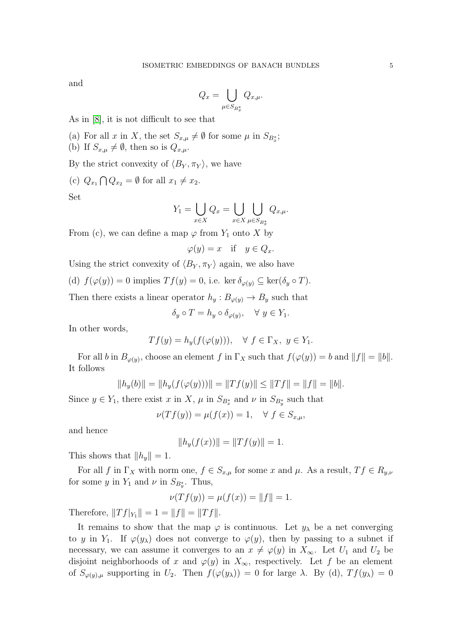and

$$
Q_x = \bigcup_{\mu \in S_{B^*_x}} Q_{x,\mu}.
$$

As in [\[8\]](#page-7-3), it is not difficult to see that

- (a) For all x in X, the set  $S_{x,\mu} \neq \emptyset$  for some  $\mu$  in  $S_{B_x^*}$ ;
- (b) If  $S_{x,\mu} \neq \emptyset$ , then so is  $Q_{x,\mu}$ .

By the strict convexity of  $\langle B_Y, \pi_Y \rangle$ , we have

(c)  $Q_{x_1} \bigcap Q_{x_2} = \emptyset$  for all  $x_1 \neq x_2$ .

Set

$$
Y_1 = \bigcup_{x \in X} Q_x = \bigcup_{x \in X} \bigcup_{\mu \in S_{B_x^*}} Q_{x,\mu}.
$$

From (c), we can define a map  $\varphi$  from  $Y_1$  onto X by

 $\varphi(y) = x$  if  $y \in Q_x$ .

Using the strict convexity of  $\langle B_Y, \pi_Y \rangle$  again, we also have

(d)  $f(\varphi(y)) = 0$  implies  $T f(y) = 0$ , i.e. ker  $\delta_{\varphi(y)} \subseteq \ker(\delta_y \circ T)$ .

Then there exists a linear operator  $h_y : B_{\varphi(y)} \to B_y$  such that

$$
\delta_y \circ T = h_y \circ \delta_{\varphi(y)}, \quad \forall \ y \in Y_1.
$$

In other words,

$$
Tf(y) = h_y(f(\varphi(y))), \quad \forall f \in \Gamma_X, y \in Y_1.
$$

For all b in  $B_{\varphi(y)}$ , choose an element f in  $\Gamma_X$  such that  $f(\varphi(y)) = b$  and  $||f|| = ||b||$ . It follows

$$
||h_y(b)|| = ||h_y(f(\varphi(y)))|| = ||Tf(y)|| \le ||Tf|| = ||f|| = ||b||.
$$

Since  $y \in Y_1$ , there exist x in X,  $\mu$  in  $S_{B_x^*}$  and  $\nu$  in  $S_{B_y^*}$  such that

$$
\nu(Tf(y)) = \mu(f(x)) = 1, \quad \forall \ f \in S_{x,\mu},
$$

and hence

$$
||h_y(f(x))|| = ||Tf(y)|| = 1.
$$

This shows that  $||h_y|| = 1$ .

For all f in  $\Gamma_X$  with norm one,  $f \in S_{x,\mu}$  for some x and  $\mu$ . As a result,  $Tf \in R_{y,\nu}$ for some y in  $Y_1$  and  $\nu$  in  $S_{B_y^*}$ . Thus,

$$
\nu(Tf(y)) = \mu(f(x)) = ||f|| = 1.
$$

Therefore,  $||Tf|_{Y_1}|| = 1 = ||f|| = ||Tf||.$ 

It remains to show that the map  $\varphi$  is continuous. Let  $y_\lambda$  be a net converging to y in Y<sub>1</sub>. If  $\varphi(y_\lambda)$  does not converge to  $\varphi(y)$ , then by passing to a subnet if necessary, we can assume it converges to an  $x \neq \varphi(y)$  in  $X_{\infty}$ . Let  $U_1$  and  $U_2$  be disjoint neighborhoods of x and  $\varphi(y)$  in  $X_{\infty}$ , respectively. Let f be an element of  $S_{\varphi(y),\mu}$  supporting in  $U_2$ . Then  $f(\varphi(y_\lambda)) = 0$  for large  $\lambda$ . By (d),  $Tf(y_\lambda) = 0$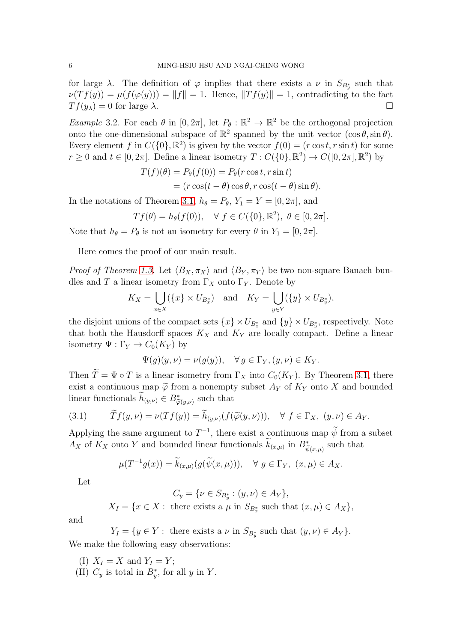for large  $\lambda$ . The definition of  $\varphi$  implies that there exists a  $\nu$  in  $S_{B^*_y}$  such that  $\nu(Tf(y)) = \mu(f(\varphi(y))) = ||f|| = 1.$  Hence,  $||Tf(y)|| = 1$ , contradicting to the fact  $Tf(y_\lambda) = 0$  for large  $\lambda$ .

<span id="page-5-0"></span>Example 3.2. For each  $\theta$  in  $[0, 2\pi]$ , let  $P_{\theta} : \mathbb{R}^2 \to \mathbb{R}^2$  be the orthogonal projection onto the one-dimensional subspace of  $\mathbb{R}^2$  spanned by the unit vector  $(\cos \theta, \sin \theta)$ . Every element f in  $C({0}, \mathbb{R}^2)$  is given by the vector  $f(0) = (r \cos t, r \sin t)$  for some  $r \geq 0$  and  $t \in [0, 2\pi]$ . Define a linear isometry  $T : C({0,\mathbb{R}^2}) \to C([0, 2\pi], \mathbb{R}^2)$  by

$$
T(f)(\theta) = P_{\theta}(f(0)) = P_{\theta}(r \cos t, r \sin t)
$$
  
=  $(r \cos(t - \theta) \cos \theta, r \cos(t - \theta) \sin \theta).$ 

In the notations of Theorem [3.1,](#page-3-1)  $h_{\theta} = P_{\theta}$ ,  $Y_1 = Y = [0, 2\pi]$ , and

$$
Tf(\theta) = h_{\theta}(f(0)), \quad \forall f \in C(\{0\}, \mathbb{R}^2), \ \theta \in [0, 2\pi].
$$

Note that  $h_{\theta} = P_{\theta}$  is not an isometry for every  $\theta$  in  $Y_1 = [0, 2\pi]$ .

Here comes the proof of our main result.

*Proof of Theorem [1.3.](#page-1-2)* Let  $\langle B_X, \pi_X \rangle$  and  $\langle B_Y, \pi_Y \rangle$  be two non-square Banach bundles and T a linear isometry from  $\Gamma_X$  onto  $\Gamma_Y$ . Denote by

$$
K_X = \bigcup_{x \in X} (\{x\} \times U_{B_x^*}) \quad \text{and} \quad K_Y = \bigcup_{y \in Y} (\{y\} \times U_{B_y^*}),
$$

the disjoint unions of the compact sets  $\{x\} \times U_{B_x^*}$  and  $\{y\} \times U_{B_y^*}$ , respectively. Note that both the Hausdorff spaces  $K_X$  and  $K_Y$  are locally compact. Define a linear isometry  $\Psi : \Gamma_Y \to C_0(K_Y)$  by

$$
\Psi(g)(y,\nu) = \nu(g(y)), \quad \forall \, g \in \Gamma_Y, (y,\nu) \in K_Y.
$$

Then  $\widetilde{T} = \Psi \circ T$  is a linear isometry from  $\Gamma_X$  into  $C_0(K_Y)$ . By Theorem [3.1,](#page-3-1) there exist a continuous map  $\tilde{\varphi}$  from a nonempty subset  $A_Y$  of  $K_Y$  onto X and bounded linear functionals  $\widetilde{h}_{(y,\nu)} \in B^*_{\widetilde{\varphi}(y,\nu)}$  such that

<span id="page-5-1"></span>(3.1) 
$$
\widetilde{T}f(y,\nu) = \nu(Tf(y)) = \widetilde{h}_{(y,\nu)}(f(\widetilde{\varphi}(y,\nu))), \quad \forall \ f \in \Gamma_X, \ (y,\nu) \in A_Y.
$$

Applying the same argument to  $T^{-1}$ , there exist a continuous map  $\widetilde{\psi}$  from a subset  $A_X$  of  $K_X$  onto Y and bounded linear functionals  $\widetilde{k}_{(x,\mu)}$  in  $B^*_{\widetilde{\psi}(x,\mu)}$  such that

$$
\mu(T^{-1}g(x)) = \widetilde{k}_{(x,\mu)}(g(\widetilde{\psi}(x,\mu))), \quad \forall \ g \in \Gamma_Y, \ (x,\mu) \in A_X.
$$

Let

 $C_y = \{ \nu \in S_{B_y^*} : (y, \nu) \in A_Y \},\$ 

 $X_I = \{x \in X : \text{ there exists a } \mu \text{ in } S_{B_x^*} \text{ such that } (x, \mu) \in A_X\},\$ 

and

$$
Y_I = \{ y \in Y : \text{ there exists a } \nu \text{ in } S_{B_y^*} \text{ such that } (y, \nu) \in A_Y \}.
$$

We make the following easy observations:

(I)  $X_I = X$  and  $Y_I = Y$ ; (II)  $C_y$  is total in  $B_y^*$ , for all y in Y.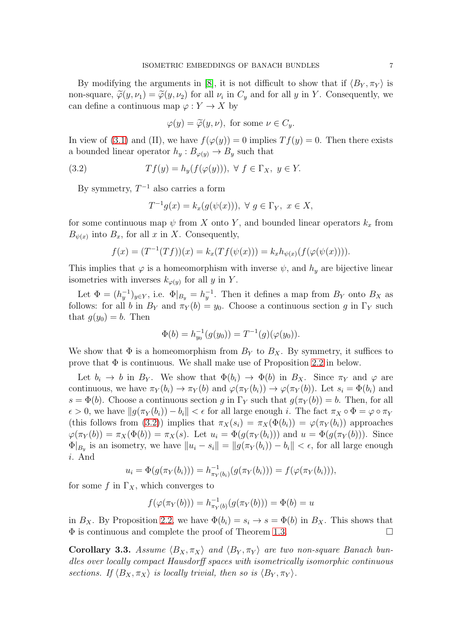By modifying the arguments in [\[8\]](#page-7-3), it is not difficult to show that if  $\langle B_Y, \pi_Y \rangle$  is non-square,  $\widetilde{\varphi}(y,\nu_1) = \widetilde{\varphi}(y,\nu_2)$  for all  $\nu_i$  in  $C_y$  and for all y in Y. Consequently, we can define a continuous map  $\varphi: Y \to X$  by

$$
\varphi(y) = \widetilde{\varphi}(y,\nu), \text{ for some } \nu \in C_y.
$$

In view of [\(3.1\)](#page-5-1) and (II), we have  $f(\varphi(y)) = 0$  implies  $Tf(y) = 0$ . Then there exists a bounded linear operator  $h_y : B_{\varphi(y)} \to B_y$  such that

(3.2) 
$$
Tf(y) = h_y(f(\varphi(y))), \ \forall \ f \in \Gamma_X, \ y \in Y.
$$

By symmetry,  $T^{-1}$  also carries a form

<span id="page-6-0"></span>
$$
T^{-1}g(x) = k_x(g(\psi(x))), \ \forall \ g \in \Gamma_Y, \ x \in X,
$$

for some continuous map  $\psi$  from X onto Y, and bounded linear operators  $k_x$  from  $B_{\psi(x)}$  into  $B_x$ , for all x in X. Consequently,

$$
f(x) = (T^{-1}(Tf))(x) = k_x(Tf(\psi(x))) = k_x h_{\psi(x)}(f(\varphi(\psi(x))))
$$

This implies that  $\varphi$  is a homeomorphism with inverse  $\psi$ , and  $h_y$  are bijective linear isometries with inverses  $k_{\varphi(y)}$  for all y in Y.

Let  $\Phi = (h_y^{-1})_{y \in Y}$ , i.e.  $\Phi|_{B_y} = h_y^{-1}$ . Then it defines a map from  $B_Y$  onto  $B_X$  as follows: for all b in  $B_Y$  and  $\pi_Y(b) = y_0$ . Choose a continuous section g in  $\Gamma_Y$  such that  $g(y_0) = b$ . Then

$$
\Phi(b) = h_{y_0}^{-1}(g(y_0)) = T^{-1}(g)(\varphi(y_0)).
$$

We show that  $\Phi$  is a homeomorphism from  $B_Y$  to  $B_X$ . By symmetry, it suffices to prove that  $\Phi$  is continuous. We shall make use of Proposition [2.2](#page-3-2) in below.

Let  $b_i \to b$  in  $B_Y$ . We show that  $\Phi(b_i) \to \Phi(b)$  in  $B_X$ . Since  $\pi_Y$  and  $\varphi$  are continuous, we have  $\pi_Y(b_i) \to \pi_Y(b)$  and  $\varphi(\pi_Y(b_i)) \to \varphi(\pi_Y(b))$ . Let  $s_i = \Phi(b_i)$  and  $s = \Phi(b)$ . Choose a continuous section g in  $\Gamma_Y$  such that  $g(\pi_Y(b)) = b$ . Then, for all  $\epsilon > 0$ , we have  $||g(\pi_Y(b_i)) - b_i|| < \epsilon$  for all large enough i. The fact  $\pi_X \circ \Phi = \varphi \circ \pi_Y$ (this follows from [\(3.2\)](#page-6-0)) implies that  $\pi_X(s_i) = \pi_X(\Phi(b_i)) = \varphi(\pi_Y(b_i))$  approaches  $\varphi(\pi_Y(b)) = \pi_X(\Phi(b)) = \pi_X(s)$ . Let  $u_i = \Phi(g(\pi_Y(b_i)))$  and  $u = \Phi(g(\pi_Y(b)))$ . Since  $\Phi|_{B_y}$  is an isometry, we have  $||u_i - s_i|| = ||g(\pi_Y(b_i)) - b_i|| < \epsilon$ , for all large enough i. And

$$
u_i = \Phi(g(\pi_Y(b_i))) = h_{\pi_Y(b_i)}^{-1}(g(\pi_Y(b_i))) = f(\varphi(\pi_Y(b_i))),
$$

for some f in  $\Gamma_X$ , which converges to

$$
f(\varphi(\pi_Y(b))) = h_{\pi_Y(b)}^{-1}(g(\pi_Y(b))) = \Phi(b) = u
$$

in  $B_X$ . By Proposition [2.2,](#page-3-2) we have  $\Phi(b_i) = s_i \rightarrow s = \Phi(b)$  in  $B_X$ . This shows that Φ is continuous and complete the proof of Theorem [1.3.](#page-1-2)

Corollary 3.3. Assume  $\langle B_X, \pi_X \rangle$  and  $\langle B_Y, \pi_Y \rangle$  are two non-square Banach bundles over locally compact Hausdorff spaces with isometrically isomorphic continuous sections. If  $\langle B_X, \pi_X \rangle$  is locally trivial, then so is  $\langle B_Y, \pi_Y \rangle$ .